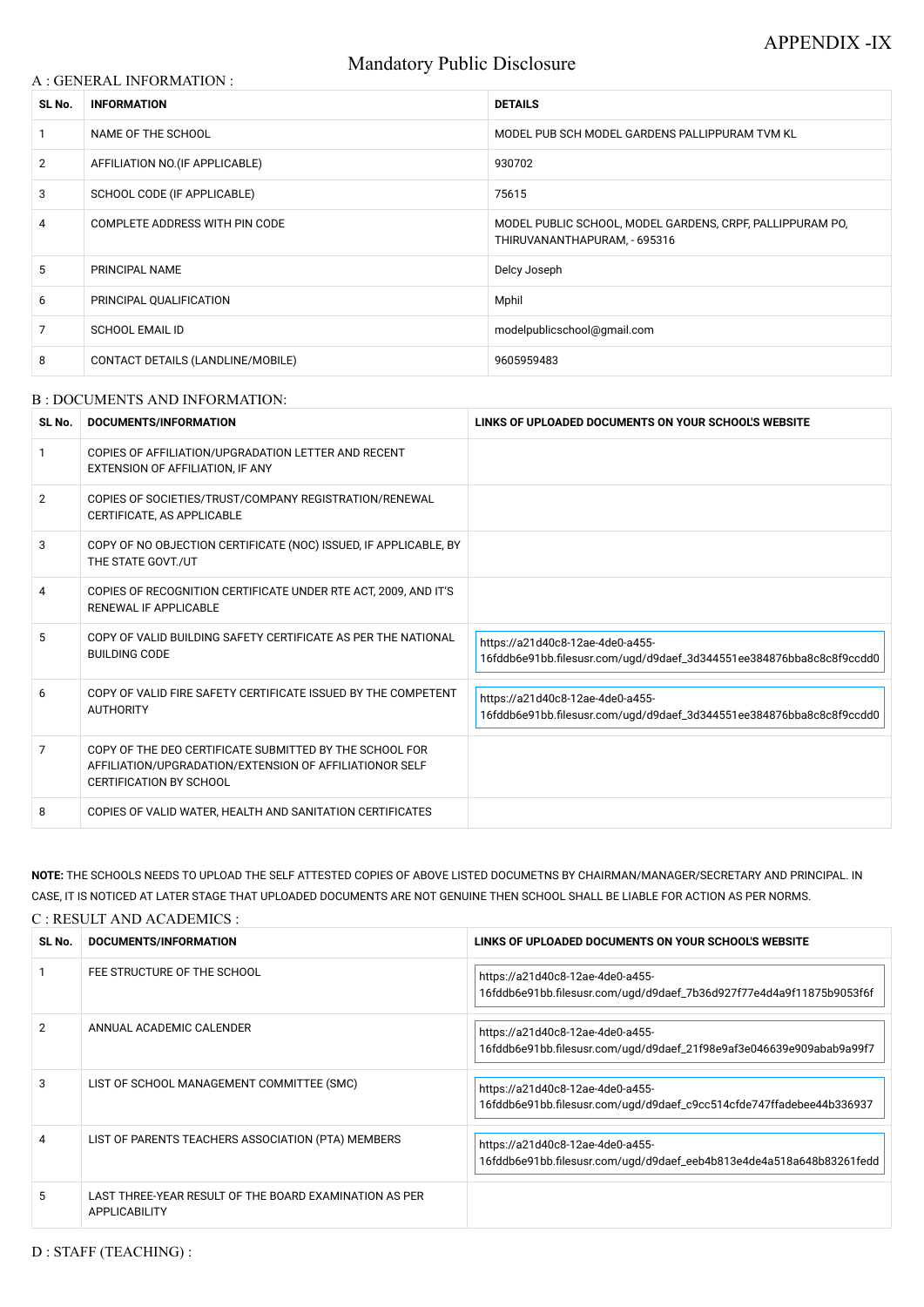# Mandatory Public Disclosure

### A : GENERAL INFORMATION :

| SL No.         | <b>INFORMATION</b>                | <b>DETAILS</b>                                                                            |  |
|----------------|-----------------------------------|-------------------------------------------------------------------------------------------|--|
|                | NAME OF THE SCHOOL                | MODEL PUB SCH MODEL GARDENS PALLIPPURAM TVM KL                                            |  |
| $\overline{2}$ | AFFILIATION NO. (IF APPLICABLE)   | 930702                                                                                    |  |
| 3              | SCHOOL CODE (IF APPLICABLE)       | 75615                                                                                     |  |
| 4              | COMPLETE ADDRESS WITH PIN CODE    | MODEL PUBLIC SCHOOL, MODEL GARDENS, CRPF, PALLIPPURAM PO,<br>THIRUVANANTHAPURAM, - 695316 |  |
| 5              | PRINCIPAL NAME                    | Delcy Joseph                                                                              |  |
| 6              | PRINCIPAL QUALIFICATION           | Mphil                                                                                     |  |
| 7              | <b>SCHOOL EMAIL ID</b>            | modelpublicschool@gmail.com                                                               |  |
| 8              | CONTACT DETAILS (LANDLINE/MOBILE) | 9605959483                                                                                |  |

#### B : DOCUMENTS AND INFORMATION:

| SL No.         | <b>DOCUMENTS/INFORMATION</b>                                                                                                                         | LINKS OF UPLOADED DOCUMENTS ON YOUR SCHOOL'S WEBSITE                                                     |
|----------------|------------------------------------------------------------------------------------------------------------------------------------------------------|----------------------------------------------------------------------------------------------------------|
|                | COPIES OF AFFILIATION/UPGRADATION LETTER AND RECENT<br>EXTENSION OF AFFILIATION, IF ANY                                                              |                                                                                                          |
| $\overline{2}$ | COPIES OF SOCIETIES/TRUST/COMPANY REGISTRATION/RENEWAL<br>CERTIFICATE, AS APPLICABLE                                                                 |                                                                                                          |
| 3              | COPY OF NO OBJECTION CERTIFICATE (NOC) ISSUED, IF APPLICABLE, BY<br>THE STATE GOVT./UT                                                               |                                                                                                          |
| 4              | COPIES OF RECOGNITION CERTIFICATE UNDER RTE ACT, 2009, AND IT'S<br><b>RENEWAL IF APPLICABLE</b>                                                      |                                                                                                          |
| 5              | COPY OF VALID BUILDING SAFETY CERTIFICATE AS PER THE NATIONAL<br><b>BUILDING CODE</b>                                                                | https://a21d40c8-12ae-4de0-a455-<br>16fddb6e91bb.filesusr.com/ugd/d9daef_3d344551ee384876bba8c8c8f9ccdd0 |
| 6              | COPY OF VALID FIRE SAFETY CERTIFICATE ISSUED BY THE COMPETENT<br><b>AUTHORITY</b>                                                                    | https://a21d40c8-12ae-4de0-a455-<br>16fddb6e91bb.filesusr.com/ugd/d9daef_3d344551ee384876bba8c8c8f9ccdd0 |
| 7              | COPY OF THE DEO CERTIFICATE SUBMITTED BY THE SCHOOL FOR<br>AFFILIATION/UPGRADATION/EXTENSION OF AFFILIATIONOR SELF<br><b>CERTIFICATION BY SCHOOL</b> |                                                                                                          |
| 8              | COPIES OF VALID WATER, HEALTH AND SANITATION CERTIFICATES                                                                                            |                                                                                                          |

**NOTE:** THE SCHOOLS NEEDS TO UPLOAD THE SELF ATTESTED COPIES OF ABOVE LISTED DOCUMETNS BY CHAIRMAN/MANAGER/SECRETARY AND PRINCIPAL. IN CASE, IT IS NOTICED AT LATER STAGE THAT UPLOADED DOCUMENTS ARE NOT GENUINE THEN SCHOOL SHALL BE LIABLE FOR ACTION AS PER NORMS. C : RESULT AND ACADEMICS :

| SL No. | DOCUMENTS/INFORMATION       | LINKS OF UPLOADED DOCUMENTS ON YOUR SCHOOL'S WEBSITE |
|--------|-----------------------------|------------------------------------------------------|
|        | FEE STRUCTURE OF THE SCHOOL | https://a21d40c8-12ae-4de0-a455-                     |

|                |                                                                                | 16fddb6e91bb.filesusr.com/ugd/d9daef_7b36d927f77e4d4a9f11875b9053f6f                                     |
|----------------|--------------------------------------------------------------------------------|----------------------------------------------------------------------------------------------------------|
| $\overline{2}$ | ANNUAL ACADEMIC CALENDER                                                       | https://a21d40c8-12ae-4de0-a455-<br>16fddb6e91bb.filesusr.com/ugd/d9daef_21f98e9af3e046639e909abab9a99f7 |
| 3              | LIST OF SCHOOL MANAGEMENT COMMITTEE (SMC)                                      | https://a21d40c8-12ae-4de0-a455-<br>16fddb6e91bb.filesusr.com/ugd/d9daef_c9cc514cfde747ffadebee44b336937 |
| 4              | LIST OF PARENTS TEACHERS ASSOCIATION (PTA) MEMBERS                             | https://a21d40c8-12ae-4de0-a455-<br>16fddb6e91bb.filesusr.com/uqd/d9daef_eeb4b813e4de4a518a648b83261fedd |
| 5              | LAST THREE-YEAR RESULT OF THE BOARD EXAMINATION AS PER<br><b>APPLICABILITY</b> |                                                                                                          |

D : STAFF (TEACHING) :